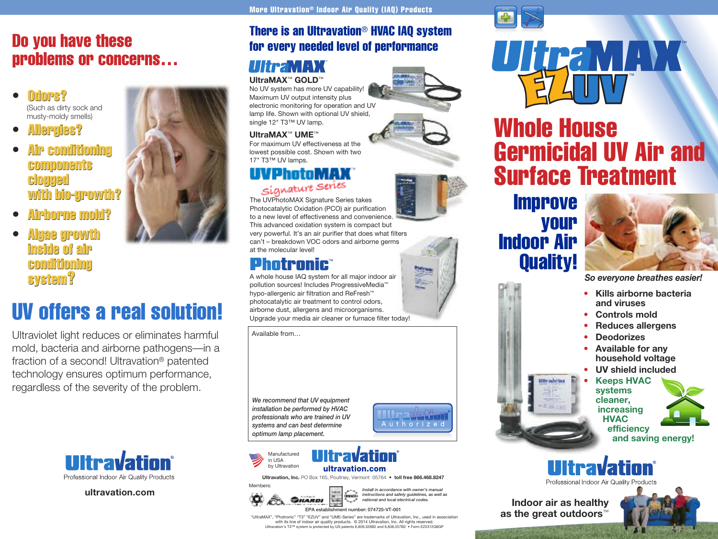# **Do you have these problems or concerns…**

- **Odors? • Odors?** (Such as dirty sock and musty-moldy smells)
- **Allergies? • Allergies?**
- **Air conditioning Air components components clogged clogged with bio-growth? with**
- 
- **Airborne mold? Airbornemold?• Algaegrowthinsideof air Algae growth inside of air conditioning conditioning system?**

# **UV offers a real solution!**

Ultraviolet light reduces or eliminates harmful mold, bacteria and airborne pathogens—in a fraction of a second! Ultravation® patented technology ensures optimum performance, regardless of the severity of the problem.



**ultravation.com**

## **There is an Ultravation**® **HVAC IAQ system for every needed level of performance**

# **UltraMAX**™ **GOLD**™

No UV system has more UV capability! Maximum UV output intensity plus electronic monitoring for operation and UV lamp life. Shown with optional UV shield, single 12" T3™ UV lamp.

#### **UltraMAX**™ **UME**™

For maximum UV effectiveness at the lowest possible cost. Shown with two 17" T3™ UV lamps.

**system?**<br> **System?**<br> **System?**<br> **System?**<br> **System?**<br> **System?**<br> **System?**<br> **System?**<br> **System?**<br> **System?**<br> **System?**<br> **Examplementary conducts**<br> **CONDUCTS**<br> **Examplementary of the system of the system is an original of** The UVPhotoMAX Signature Series takes Photocatalytic Oxidation (PCO) air purification to a new level of effectiveness and convenience. This advanced oxidation system is compact but very powerful. It's an air purifier that does what filters can't – breakdown VOC odors and airborne germs at the molecular level!

A whole house IAQ system for all major indoor air pollution sources! Includes ProgressiveMedia™ hypo-allergenic air filtration and ReFresh™ photocatalytic air treatment to control odors, airborne dust, allergens and microorganisms. Upgrade your media air cleaner or furnace filter today!

Available from…

*We recommend that UV equipment installation be performed by HVAC professionals who are trained in UV systems and can best determine optimum lamp placement.*







**Ultravation, Inc.** PO Box 165, Poultney, Vermont 05764 • **toll free 866.468.8247**



*instructions and safety guidelines, as well as national and local electrical codes.*









**Whole House**

UltraMAX



*So everyone breathes easier!*

- **Kills airborne bacteria and viruses**
- **Controls mold**
- **Reduces allergens**
- **Deodorizes**
- **Available for any household voltage**
- **UV shield included**
- **Keeps HVAC systems cleaner, increasing HVAC**



**efficiency and saving energy!**



Professional Indoor Air Quality F

**Indoor air as healthy as the great outdoors**™



"UltraMAX", "Photronic" "T3" "EZUV" and "UME-Series" are trademarks of Ultravation, Inc., used in association with its line of indoor air quality products. © 2014 Ultravation, Inc. All rights reserved. Ultravation's T3™ system is protected by US patents 6,809,326B2 and 6,838,057B2 • Form EZ0312Q8GP